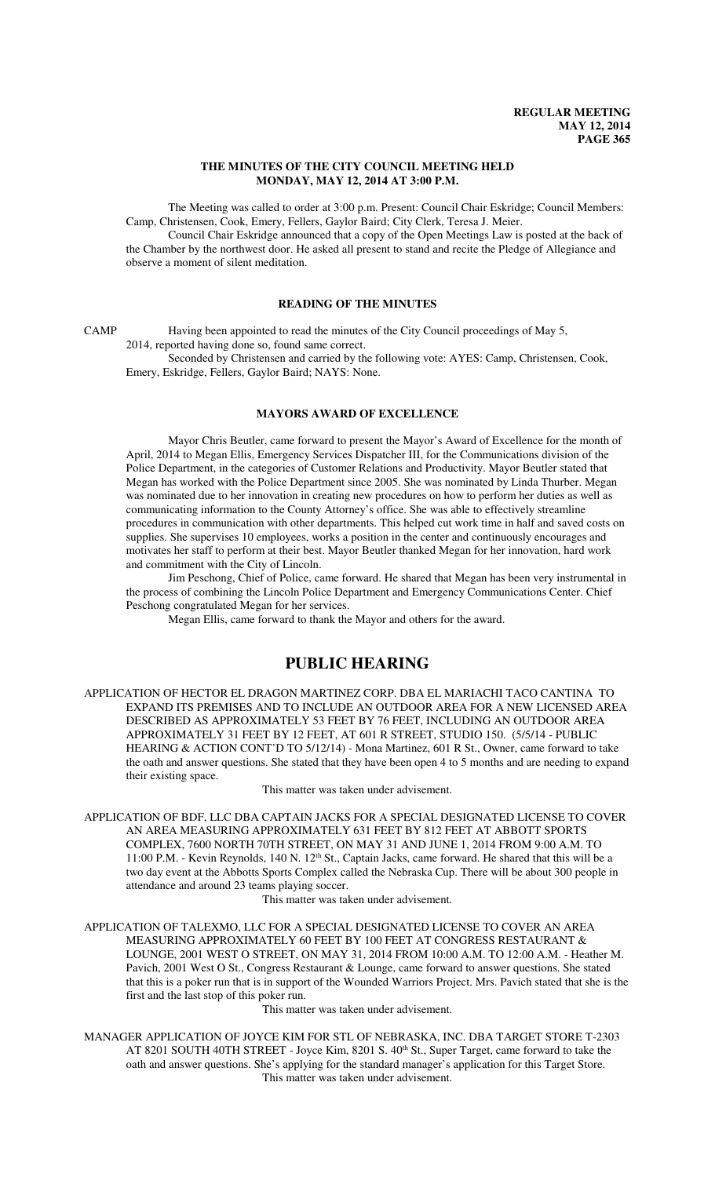### **THE MINUTES OF THE CITY COUNCIL MEETING HELD MONDAY, MAY 12, 2014 AT 3:00 P.M.**

The Meeting was called to order at 3:00 p.m. Present: Council Chair Eskridge; Council Members: Camp, Christensen, Cook, Emery, Fellers, Gaylor Baird; City Clerk, Teresa J. Meier.

Council Chair Eskridge announced that a copy of the Open Meetings Law is posted at the back of the Chamber by the northwest door. He asked all present to stand and recite the Pledge of Allegiance and observe a moment of silent meditation.

# **READING OF THE MINUTES**

CAMP Having been appointed to read the minutes of the City Council proceedings of May 5, 2014, reported having done so, found same correct.

Seconded by Christensen and carried by the following vote: AYES: Camp, Christensen, Cook, Emery, Eskridge, Fellers, Gaylor Baird; NAYS: None.

# **MAYORS AWARD OF EXCELLENCE**

Mayor Chris Beutler, came forward to present the Mayor's Award of Excellence for the month of April, 2014 to Megan Ellis, Emergency Services Dispatcher III, for the Communications division of the Police Department, in the categories of Customer Relations and Productivity. Mayor Beutler stated that Megan has worked with the Police Department since 2005. She was nominated by Linda Thurber. Megan was nominated due to her innovation in creating new procedures on how to perform her duties as well as communicating information to the County Attorney's office. She was able to effectively streamline procedures in communication with other departments. This helped cut work time in half and saved costs on supplies. She supervises 10 employees, works a position in the center and continuously encourages and motivates her staff to perform at their best. Mayor Beutler thanked Megan for her innovation, hard work and commitment with the City of Lincoln.

Jim Peschong, Chief of Police, came forward. He shared that Megan has been very instrumental in the process of combining the Lincoln Police Department and Emergency Communications Center. Chief Peschong congratulated Megan for her services.

Megan Ellis, came forward to thank the Mayor and others for the award.

# **PUBLIC HEARING**

APPLICATION OF HECTOR EL DRAGON MARTINEZ CORP. DBA EL MARIACHI TACO CANTINA TO EXPAND ITS PREMISES AND TO INCLUDE AN OUTDOOR AREA FOR A NEW LICENSED AREA DESCRIBED AS APPROXIMATELY 53 FEET BY 76 FEET, INCLUDING AN OUTDOOR AREA APPROXIMATELY 31 FEET BY 12 FEET, AT 601 R STREET, STUDIO 150. (5/5/14 - PUBLIC HEARING & ACTION CONT'D TO 5/12/14) - Mona Martinez, 601 R St., Owner, came forward to take the oath and answer questions. She stated that they have been open 4 to 5 months and are needing to expand their existing space.

This matter was taken under advisement.

APPLICATION OF BDF, LLC DBA CAPTAIN JACKS FOR A SPECIAL DESIGNATED LICENSE TO COVER AN AREA MEASURING APPROXIMATELY 631 FEET BY 812 FEET AT ABBOTT SPORTS COMPLEX, 7600 NORTH 70TH STREET, ON MAY 31 AND JUNE 1, 2014 FROM 9:00 A.M. TO 11:00 P.M. - Kevin Reynolds, 140 N. 12<sup>th</sup> St., Captain Jacks, came forward. He shared that this will be a two day event at the Abbotts Sports Complex called the Nebraska Cup. There will be about 300 people in attendance and around 23 teams playing soccer.

This matter was taken under advisement.

APPLICATION OF TALEXMO, LLC FOR A SPECIAL DESIGNATED LICENSE TO COVER AN AREA MEASURING APPROXIMATELY 60 FEET BY 100 FEET AT CONGRESS RESTAURANT & LOUNGE, 2001 WEST O STREET, ON MAY 31, 2014 FROM 10:00 A.M. TO 12:00 A.M. - Heather M. Pavich, 2001 West O St., Congress Restaurant & Lounge, came forward to answer questions. She stated that this is a poker run that is in support of the Wounded Warriors Project. Mrs. Pavich stated that she is the first and the last stop of this poker run.

This matter was taken under advisement.

MANAGER APPLICATION OF JOYCE KIM FOR STL OF NEBRASKA, INC. DBA TARGET STORE T-2303 AT 8201 SOUTH 40TH STREET - Joyce Kim, 8201 S. 40<sup>th</sup> St., Super Target, came forward to take the oath and answer questions. She's applying for the standard manager's application for this Target Store. This matter was taken under advisement.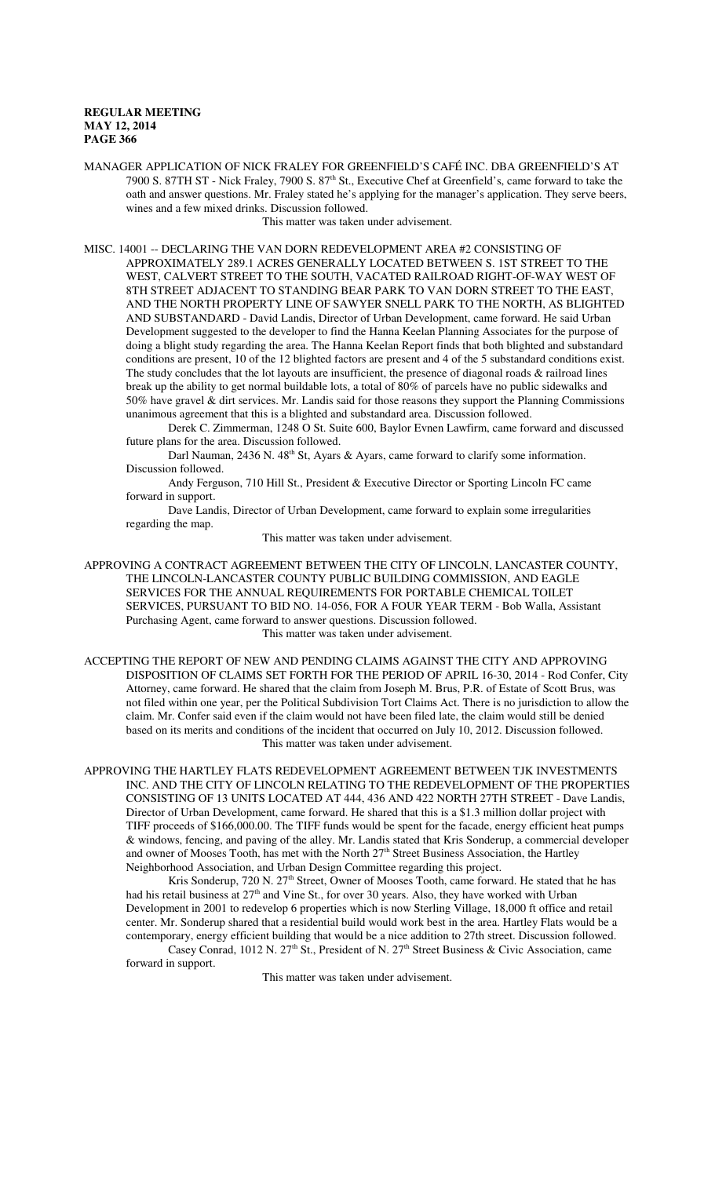MANAGER APPLICATION OF NICK FRALEY FOR GREENFIELD'S CAFÉ INC. DBA GREENFIELD'S AT 7900 S. 87TH ST - Nick Fraley, 7900 S. 87<sup>th</sup> St., Executive Chef at Greenfield's, came forward to take the oath and answer questions. Mr. Fraley stated he's applying for the manager's application. They serve beers, wines and a few mixed drinks. Discussion followed.

This matter was taken under advisement.

MISC. 14001 -- DECLARING THE VAN DORN REDEVELOPMENT AREA #2 CONSISTING OF APPROXIMATELY 289.1 ACRES GENERALLY LOCATED BETWEEN S. 1ST STREET TO THE WEST, CALVERT STREET TO THE SOUTH, VACATED RAILROAD RIGHT-OF-WAY WEST OF 8TH STREET ADJACENT TO STANDING BEAR PARK TO VAN DORN STREET TO THE EAST, AND THE NORTH PROPERTY LINE OF SAWYER SNELL PARK TO THE NORTH, AS BLIGHTED AND SUBSTANDARD - David Landis, Director of Urban Development, came forward. He said Urban Development suggested to the developer to find the Hanna Keelan Planning Associates for the purpose of doing a blight study regarding the area. The Hanna Keelan Report finds that both blighted and substandard conditions are present, 10 of the 12 blighted factors are present and 4 of the 5 substandard conditions exist. The study concludes that the lot layouts are insufficient, the presence of diagonal roads & railroad lines break up the ability to get normal buildable lots, a total of 80% of parcels have no public sidewalks and 50% have gravel & dirt services. Mr. Landis said for those reasons they support the Planning Commissions unanimous agreement that this is a blighted and substandard area. Discussion followed.

Derek C. Zimmerman, 1248 O St. Suite 600, Baylor Evnen Lawfirm, came forward and discussed future plans for the area. Discussion followed.

Darl Nauman, 2436 N. 48<sup>th</sup> St, Ayars & Ayars, came forward to clarify some information. Discussion followed.

Andy Ferguson, 710 Hill St., President & Executive Director or Sporting Lincoln FC came forward in support.

Dave Landis, Director of Urban Development, came forward to explain some irregularities regarding the map.

This matter was taken under advisement.

APPROVING A CONTRACT AGREEMENT BETWEEN THE CITY OF LINCOLN, LANCASTER COUNTY, THE LINCOLN-LANCASTER COUNTY PUBLIC BUILDING COMMISSION, AND EAGLE SERVICES FOR THE ANNUAL REQUIREMENTS FOR PORTABLE CHEMICAL TOILET SERVICES, PURSUANT TO BID NO. 14-056, FOR A FOUR YEAR TERM - Bob Walla, Assistant Purchasing Agent, came forward to answer questions. Discussion followed. This matter was taken under advisement.

ACCEPTING THE REPORT OF NEW AND PENDING CLAIMS AGAINST THE CITY AND APPROVING DISPOSITION OF CLAIMS SET FORTH FOR THE PERIOD OF APRIL 16-30, 2014 - Rod Confer, City Attorney, came forward. He shared that the claim from Joseph M. Brus, P.R. of Estate of Scott Brus, was not filed within one year, per the Political Subdivision Tort Claims Act. There is no jurisdiction to allow the claim. Mr. Confer said even if the claim would not have been filed late, the claim would still be denied based on its merits and conditions of the incident that occurred on July 10, 2012. Discussion followed. This matter was taken under advisement.

APPROVING THE HARTLEY FLATS REDEVELOPMENT AGREEMENT BETWEEN TJK INVESTMENTS INC. AND THE CITY OF LINCOLN RELATING TO THE REDEVELOPMENT OF THE PROPERTIES CONSISTING OF 13 UNITS LOCATED AT 444, 436 AND 422 NORTH 27TH STREET - Dave Landis, Director of Urban Development, came forward. He shared that this is a \$1.3 million dollar project with TIFF proceeds of \$166,000.00. The TIFF funds would be spent for the facade, energy efficient heat pumps & windows, fencing, and paving of the alley. Mr. Landis stated that Kris Sonderup, a commercial developer and owner of Mooses Tooth, has met with the North 27<sup>th</sup> Street Business Association, the Hartley Neighborhood Association, and Urban Design Committee regarding this project.

Kris Sonderup, 720 N. 27<sup>th</sup> Street, Owner of Mooses Tooth, came forward. He stated that he has had his retail business at 27<sup>th</sup> and Vine St., for over 30 years. Also, they have worked with Urban Development in 2001 to redevelop 6 properties which is now Sterling Village, 18,000 ft office and retail center. Mr. Sonderup shared that a residential build would work best in the area. Hartley Flats would be a contemporary, energy efficient building that would be a nice addition to 27th street. Discussion followed.

Casey Conrad, 1012 N. 27<sup>th</sup> St., President of N. 27<sup>th</sup> Street Business & Civic Association, came forward in support.

This matter was taken under advisement.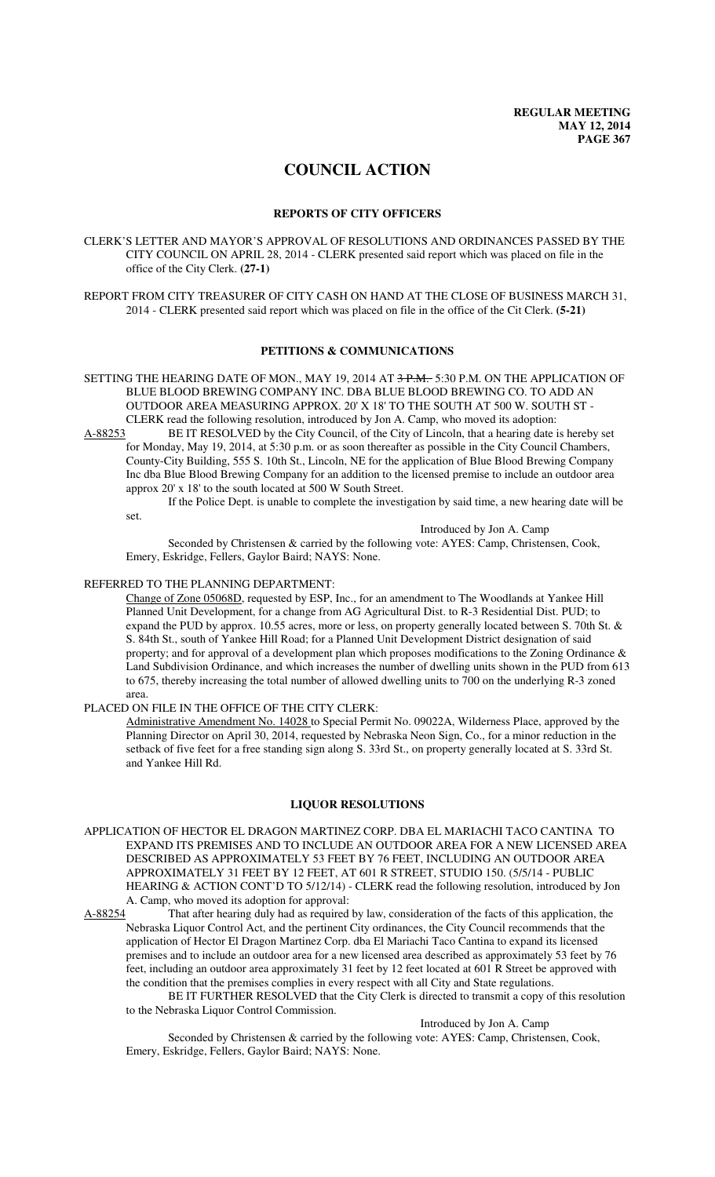# **COUNCIL ACTION**

### **REPORTS OF CITY OFFICERS**

CLERK'S LETTER AND MAYOR'S APPROVAL OF RESOLUTIONS AND ORDINANCES PASSED BY THE CITY COUNCIL ON APRIL 28, 2014 - CLERK presented said report which was placed on file in the office of the City Clerk. **(27-1)**

REPORT FROM CITY TREASURER OF CITY CASH ON HAND AT THE CLOSE OF BUSINESS MARCH 31, 2014 - CLERK presented said report which was placed on file in the office of the Cit Clerk. **(5-21)**

## **PETITIONS & COMMUNICATIONS**

SETTING THE HEARING DATE OF MON., MAY 19, 2014 AT 3 P.M. 5:30 P.M. ON THE APPLICATION OF BLUE BLOOD BREWING COMPANY INC. DBA BLUE BLOOD BREWING CO. TO ADD AN OUTDOOR AREA MEASURING APPROX. 20' X 18' TO THE SOUTH AT 500 W. SOUTH ST - CLERK read the following resolution, introduced by Jon A. Camp, who moved its adoption:

A-88253 BE IT RESOLVED by the City Council, of the City of Lincoln, that a hearing date is hereby set for Monday, May 19, 2014, at 5:30 p.m. or as soon thereafter as possible in the City Council Chambers, County-City Building, 555 S. 10th St., Lincoln, NE for the application of Blue Blood Brewing Company Inc dba Blue Blood Brewing Company for an addition to the licensed premise to include an outdoor area approx 20' x 18' to the south located at 500 W South Street.

If the Police Dept. is unable to complete the investigation by said time, a new hearing date will be

set.

Introduced by Jon A. Camp

Seconded by Christensen & carried by the following vote: AYES: Camp, Christensen, Cook, Emery, Eskridge, Fellers, Gaylor Baird; NAYS: None.

# REFERRED TO THE PLANNING DEPARTMENT:

Change of Zone 05068D, requested by ESP, Inc., for an amendment to The Woodlands at Yankee Hill Planned Unit Development, for a change from AG Agricultural Dist. to R-3 Residential Dist. PUD; to expand the PUD by approx. 10.55 acres, more or less, on property generally located between S. 70th St. & S. 84th St., south of Yankee Hill Road; for a Planned Unit Development District designation of said property; and for approval of a development plan which proposes modifications to the Zoning Ordinance & Land Subdivision Ordinance, and which increases the number of dwelling units shown in the PUD from 613 to 675, thereby increasing the total number of allowed dwelling units to 700 on the underlying R-3 zoned area.

# PLACED ON FILE IN THE OFFICE OF THE CITY CLERK:

Administrative Amendment No. 14028 to Special Permit No. 09022A, Wilderness Place, approved by the Planning Director on April 30, 2014, requested by Nebraska Neon Sign, Co., for a minor reduction in the setback of five feet for a free standing sign along S. 33rd St., on property generally located at S. 33rd St. and Yankee Hill Rd.

#### **LIQUOR RESOLUTIONS**

- APPLICATION OF HECTOR EL DRAGON MARTINEZ CORP. DBA EL MARIACHI TACO CANTINA TO EXPAND ITS PREMISES AND TO INCLUDE AN OUTDOOR AREA FOR A NEW LICENSED AREA DESCRIBED AS APPROXIMATELY 53 FEET BY 76 FEET, INCLUDING AN OUTDOOR AREA APPROXIMATELY 31 FEET BY 12 FEET, AT 601 R STREET, STUDIO 150. (5/5/14 - PUBLIC HEARING & ACTION CONT'D TO 5/12/14) - CLERK read the following resolution, introduced by Jon A. Camp, who moved its adoption for approval:
- A-88254 That after hearing duly had as required by law, consideration of the facts of this application, the Nebraska Liquor Control Act, and the pertinent City ordinances, the City Council recommends that the application of Hector El Dragon Martinez Corp. dba El Mariachi Taco Cantina to expand its licensed premises and to include an outdoor area for a new licensed area described as approximately 53 feet by 76 feet, including an outdoor area approximately 31 feet by 12 feet located at 601 R Street be approved with the condition that the premises complies in every respect with all City and State regulations.

BE IT FURTHER RESOLVED that the City Clerk is directed to transmit a copy of this resolution to the Nebraska Liquor Control Commission.

Introduced by Jon A. Camp

Seconded by Christensen & carried by the following vote: AYES: Camp, Christensen, Cook, Emery, Eskridge, Fellers, Gaylor Baird; NAYS: None.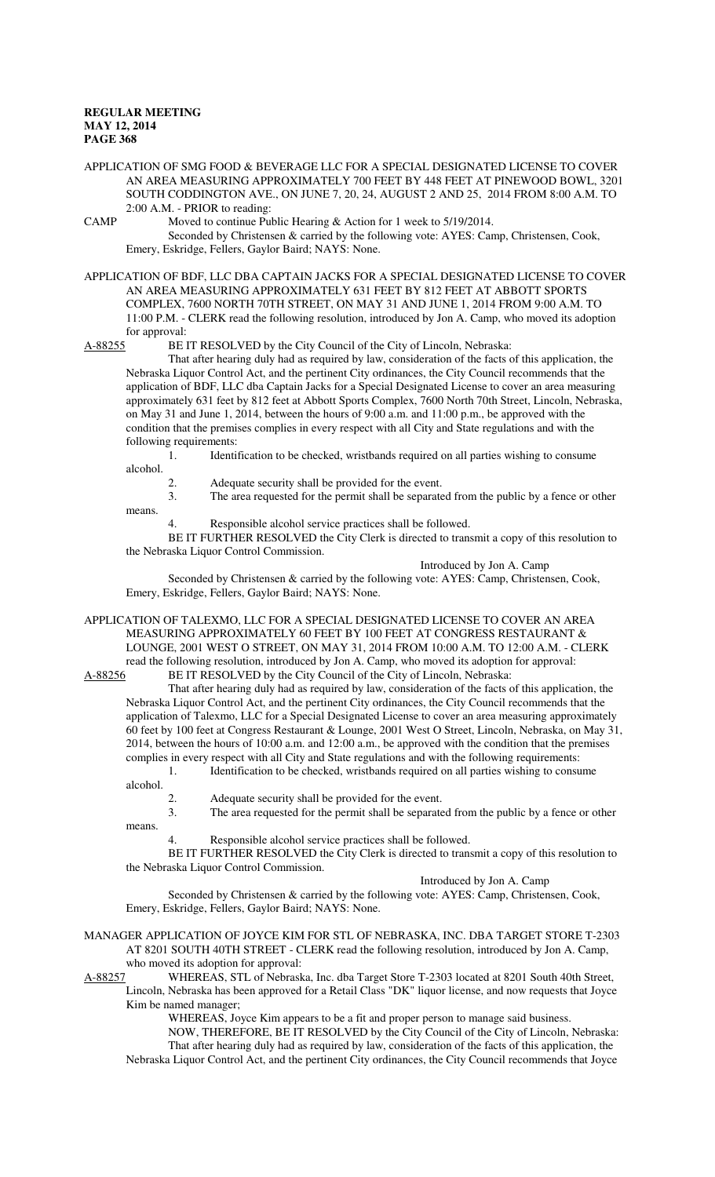APPLICATION OF SMG FOOD & BEVERAGE LLC FOR A SPECIAL DESIGNATED LICENSE TO COVER AN AREA MEASURING APPROXIMATELY 700 FEET BY 448 FEET AT PINEWOOD BOWL, 3201 SOUTH CODDINGTON AVE., ON JUNE 7, 20, 24, AUGUST 2 AND 25, 2014 FROM 8:00 A.M. TO 2:00 A.M. - PRIOR to reading:

CAMP Moved to continue Public Hearing & Action for 1 week to 5/19/2014.

Seconded by Christensen & carried by the following vote: AYES: Camp, Christensen, Cook, Emery, Eskridge, Fellers, Gaylor Baird; NAYS: None.

APPLICATION OF BDF, LLC DBA CAPTAIN JACKS FOR A SPECIAL DESIGNATED LICENSE TO COVER AN AREA MEASURING APPROXIMATELY 631 FEET BY 812 FEET AT ABBOTT SPORTS COMPLEX, 7600 NORTH 70TH STREET, ON MAY 31 AND JUNE 1, 2014 FROM 9:00 A.M. TO 11:00 P.M. - CLERK read the following resolution, introduced by Jon A. Camp, who moved its adoption for approval:

A-88255 BE IT RESOLVED by the City Council of the City of Lincoln, Nebraska:

That after hearing duly had as required by law, consideration of the facts of this application, the Nebraska Liquor Control Act, and the pertinent City ordinances, the City Council recommends that the application of BDF, LLC dba Captain Jacks for a Special Designated License to cover an area measuring approximately 631 feet by 812 feet at Abbott Sports Complex, 7600 North 70th Street, Lincoln, Nebraska, on May 31 and June 1, 2014, between the hours of 9:00 a.m. and 11:00 p.m., be approved with the condition that the premises complies in every respect with all City and State regulations and with the following requirements:

1. Identification to be checked, wristbands required on all parties wishing to consume alcohol.

means.

2. Adequate security shall be provided for the event.

3. The area requested for the permit shall be separated from the public by a fence or other

Responsible alcohol service practices shall be followed.

BE IT FURTHER RESOLVED the City Clerk is directed to transmit a copy of this resolution to the Nebraska Liquor Control Commission.

Introduced by Jon A. Camp

Seconded by Christensen & carried by the following vote: AYES: Camp, Christensen, Cook, Emery, Eskridge, Fellers, Gaylor Baird; NAYS: None.

APPLICATION OF TALEXMO, LLC FOR A SPECIAL DESIGNATED LICENSE TO COVER AN AREA MEASURING APPROXIMATELY 60 FEET BY 100 FEET AT CONGRESS RESTAURANT & LOUNGE, 2001 WEST O STREET, ON MAY 31, 2014 FROM 10:00 A.M. TO 12:00 A.M. - CLERK

read the following resolution, introduced by Jon A. Camp, who moved its adoption for approval:<br>A-88256 BE IT RESOLVED by the City Council of the City of Lincoln, Nebraska: BE IT RESOLVED by the City Council of the City of Lincoln, Nebraska:

That after hearing duly had as required by law, consideration of the facts of this application, the Nebraska Liquor Control Act, and the pertinent City ordinances, the City Council recommends that the application of Talexmo, LLC for a Special Designated License to cover an area measuring approximately 60 feet by 100 feet at Congress Restaurant & Lounge, 2001 West O Street, Lincoln, Nebraska, on May 31, 2014, between the hours of 10:00 a.m. and 12:00 a.m., be approved with the condition that the premises complies in every respect with all City and State regulations and with the following requirements: 1. Identification to be checked, wristbands required on all parties wishing to consume

alcohol.

means.

2. Adequate security shall be provided for the event.

3. The area requested for the permit shall be separated from the public by a fence or other

Responsible alcohol service practices shall be followed.

BE IT FURTHER RESOLVED the City Clerk is directed to transmit a copy of this resolution to the Nebraska Liquor Control Commission.

Introduced by Jon A. Camp

Seconded by Christensen & carried by the following vote: AYES: Camp, Christensen, Cook, Emery, Eskridge, Fellers, Gaylor Baird; NAYS: None.

MANAGER APPLICATION OF JOYCE KIM FOR STL OF NEBRASKA, INC. DBA TARGET STORE T-2303 AT 8201 SOUTH 40TH STREET - CLERK read the following resolution, introduced by Jon A. Camp, who moved its adoption for approval:

A-88257 WHEREAS, STL of Nebraska, Inc. dba Target Store T-2303 located at 8201 South 40th Street, Lincoln, Nebraska has been approved for a Retail Class "DK" liquor license, and now requests that Joyce

Kim be named manager;

WHEREAS, Joyce Kim appears to be a fit and proper person to manage said business.

NOW, THEREFORE, BE IT RESOLVED by the City Council of the City of Lincoln, Nebraska: That after hearing duly had as required by law, consideration of the facts of this application, the Nebraska Liquor Control Act, and the pertinent City ordinances, the City Council recommends that Joyce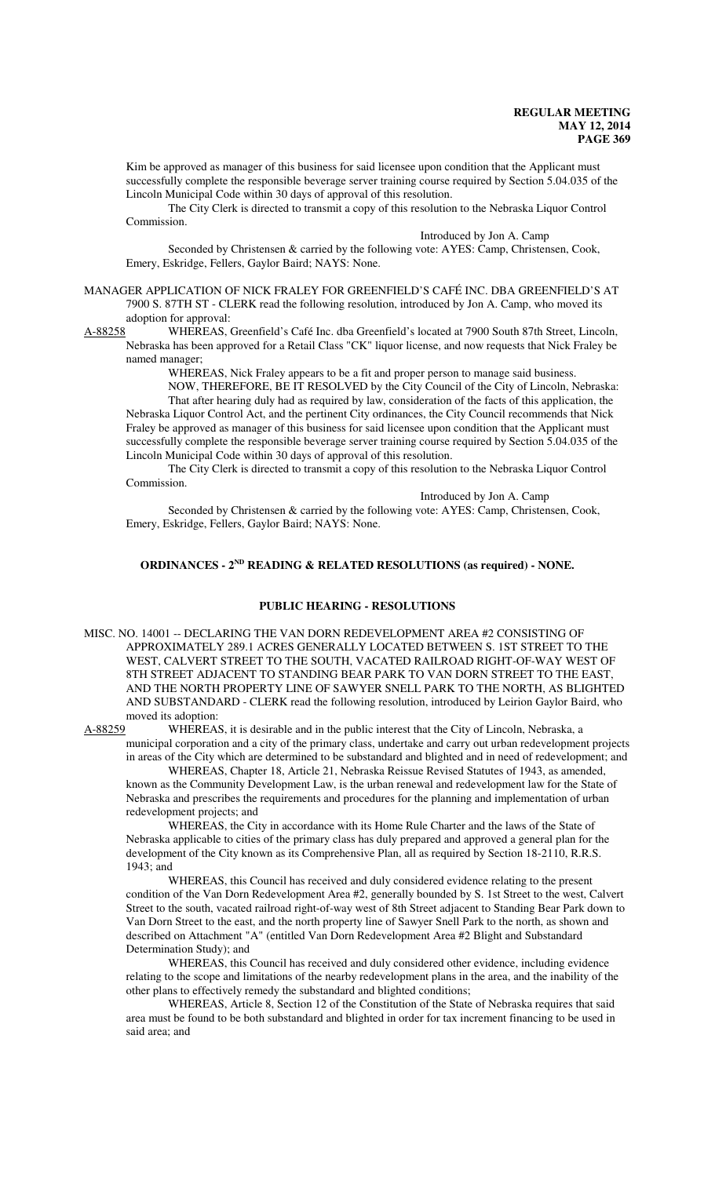Kim be approved as manager of this business for said licensee upon condition that the Applicant must successfully complete the responsible beverage server training course required by Section 5.04.035 of the Lincoln Municipal Code within 30 days of approval of this resolution.

The City Clerk is directed to transmit a copy of this resolution to the Nebraska Liquor Control Commission.

Introduced by Jon A. Camp

Seconded by Christensen & carried by the following vote: AYES: Camp, Christensen, Cook, Emery, Eskridge, Fellers, Gaylor Baird; NAYS: None.

MANAGER APPLICATION OF NICK FRALEY FOR GREENFIELD'S CAFÉ INC. DBA GREENFIELD'S AT 7900 S. 87TH ST - CLERK read the following resolution, introduced by Jon A. Camp, who moved its adoption for approval:

A-88258 WHEREAS, Greenfield's Café Inc. dba Greenfield's located at 7900 South 87th Street, Lincoln, Nebraska has been approved for a Retail Class "CK" liquor license, and now requests that Nick Fraley be named manager;

WHEREAS, Nick Fraley appears to be a fit and proper person to manage said business.

NOW, THEREFORE, BE IT RESOLVED by the City Council of the City of Lincoln, Nebraska:

That after hearing duly had as required by law, consideration of the facts of this application, the Nebraska Liquor Control Act, and the pertinent City ordinances, the City Council recommends that Nick Fraley be approved as manager of this business for said licensee upon condition that the Applicant must successfully complete the responsible beverage server training course required by Section 5.04.035 of the Lincoln Municipal Code within 30 days of approval of this resolution.

The City Clerk is directed to transmit a copy of this resolution to the Nebraska Liquor Control Commission.

Introduced by Jon A. Camp

Seconded by Christensen & carried by the following vote: AYES: Camp, Christensen, Cook, Emery, Eskridge, Fellers, Gaylor Baird; NAYS: None.

# **ORDINANCES - 2ND READING & RELATED RESOLUTIONS (as required) - NONE.**

#### **PUBLIC HEARING - RESOLUTIONS**

MISC. NO. 14001 -- DECLARING THE VAN DORN REDEVELOPMENT AREA #2 CONSISTING OF APPROXIMATELY 289.1 ACRES GENERALLY LOCATED BETWEEN S. 1ST STREET TO THE WEST, CALVERT STREET TO THE SOUTH, VACATED RAILROAD RIGHT-OF-WAY WEST OF 8TH STREET ADJACENT TO STANDING BEAR PARK TO VAN DORN STREET TO THE EAST, AND THE NORTH PROPERTY LINE OF SAWYER SNELL PARK TO THE NORTH, AS BLIGHTED AND SUBSTANDARD - CLERK read the following resolution, introduced by Leirion Gaylor Baird, who moved its adoption:

A-88259 WHEREAS, it is desirable and in the public interest that the City of Lincoln, Nebraska, a municipal corporation and a city of the primary class, undertake and carry out urban redevelopment projects in areas of the City which are determined to be substandard and blighted and in need of redevelopment; and

WHEREAS, Chapter 18, Article 21, Nebraska Reissue Revised Statutes of 1943, as amended, known as the Community Development Law, is the urban renewal and redevelopment law for the State of Nebraska and prescribes the requirements and procedures for the planning and implementation of urban redevelopment projects; and

WHEREAS, the City in accordance with its Home Rule Charter and the laws of the State of Nebraska applicable to cities of the primary class has duly prepared and approved a general plan for the development of the City known as its Comprehensive Plan, all as required by Section 18-2110, R.R.S. 1943; and

WHEREAS, this Council has received and duly considered evidence relating to the present condition of the Van Dorn Redevelopment Area #2, generally bounded by S. 1st Street to the west, Calvert Street to the south, vacated railroad right-of-way west of 8th Street adjacent to Standing Bear Park down to Van Dorn Street to the east, and the north property line of Sawyer Snell Park to the north, as shown and described on Attachment "A" (entitled Van Dorn Redevelopment Area #2 Blight and Substandard Determination Study); and

WHEREAS, this Council has received and duly considered other evidence, including evidence relating to the scope and limitations of the nearby redevelopment plans in the area, and the inability of the other plans to effectively remedy the substandard and blighted conditions;

WHEREAS, Article 8, Section 12 of the Constitution of the State of Nebraska requires that said area must be found to be both substandard and blighted in order for tax increment financing to be used in said area; and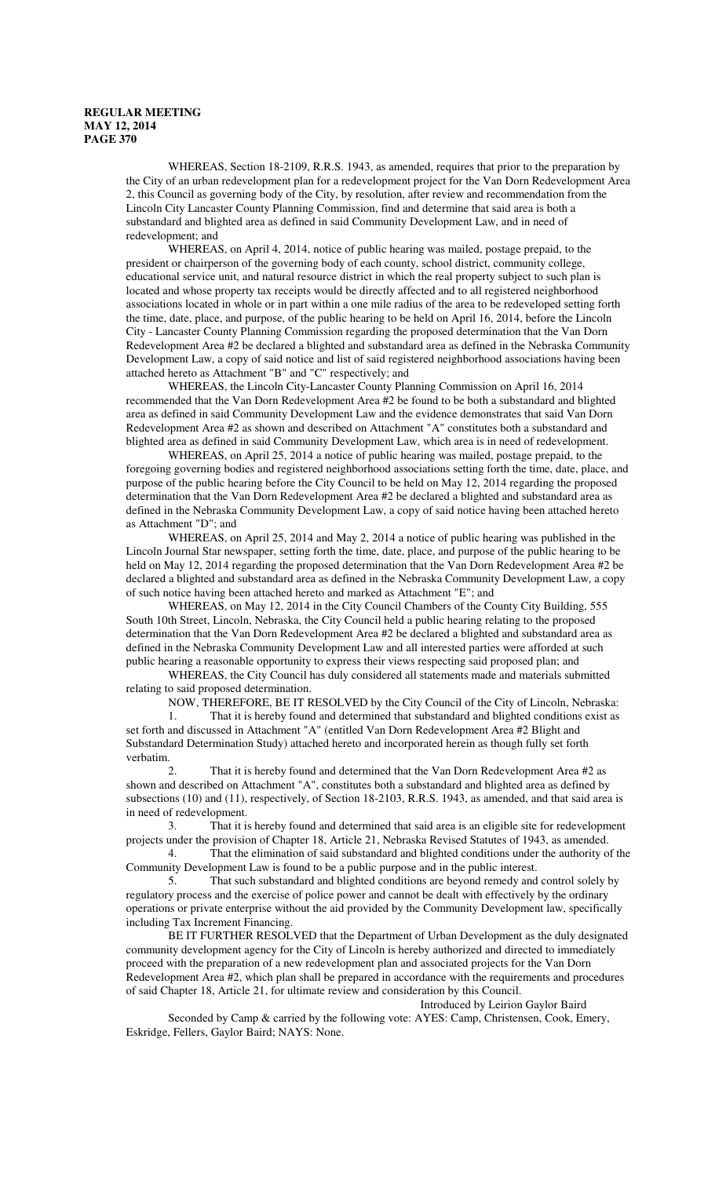WHEREAS, Section 18-2109, R.R.S. 1943, as amended, requires that prior to the preparation by the City of an urban redevelopment plan for a redevelopment project for the Van Dorn Redevelopment Area 2, this Council as governing body of the City, by resolution, after review and recommendation from the Lincoln City Lancaster County Planning Commission, find and determine that said area is both a substandard and blighted area as defined in said Community Development Law, and in need of redevelopment; and

WHEREAS, on April 4, 2014, notice of public hearing was mailed, postage prepaid, to the president or chairperson of the governing body of each county, school district, community college, educational service unit, and natural resource district in which the real property subject to such plan is located and whose property tax receipts would be directly affected and to all registered neighborhood associations located in whole or in part within a one mile radius of the area to be redeveloped setting forth the time, date, place, and purpose, of the public hearing to be held on April 16, 2014, before the Lincoln City - Lancaster County Planning Commission regarding the proposed determination that the Van Dorn Redevelopment Area #2 be declared a blighted and substandard area as defined in the Nebraska Community Development Law, a copy of said notice and list of said registered neighborhood associations having been attached hereto as Attachment "B" and "C" respectively; and

WHEREAS, the Lincoln City-Lancaster County Planning Commission on April 16, 2014 recommended that the Van Dorn Redevelopment Area #2 be found to be both a substandard and blighted area as defined in said Community Development Law and the evidence demonstrates that said Van Dorn Redevelopment Area #2 as shown and described on Attachment "A" constitutes both a substandard and blighted area as defined in said Community Development Law, which area is in need of redevelopment.

WHEREAS, on April 25, 2014 a notice of public hearing was mailed, postage prepaid, to the foregoing governing bodies and registered neighborhood associations setting forth the time, date, place, and purpose of the public hearing before the City Council to be held on May 12, 2014 regarding the proposed determination that the Van Dorn Redevelopment Area #2 be declared a blighted and substandard area as defined in the Nebraska Community Development Law, a copy of said notice having been attached hereto as Attachment "D"; and

WHEREAS, on April 25, 2014 and May 2, 2014 a notice of public hearing was published in the Lincoln Journal Star newspaper, setting forth the time, date, place, and purpose of the public hearing to be held on May 12, 2014 regarding the proposed determination that the Van Dorn Redevelopment Area #2 be declared a blighted and substandard area as defined in the Nebraska Community Development Law, a copy of such notice having been attached hereto and marked as Attachment "E"; and

WHEREAS, on May 12, 2014 in the City Council Chambers of the County City Building, 555 South 10th Street, Lincoln, Nebraska, the City Council held a public hearing relating to the proposed determination that the Van Dorn Redevelopment Area #2 be declared a blighted and substandard area as defined in the Nebraska Community Development Law and all interested parties were afforded at such public hearing a reasonable opportunity to express their views respecting said proposed plan; and

WHEREAS, the City Council has duly considered all statements made and materials submitted relating to said proposed determination.

NOW, THEREFORE, BE IT RESOLVED by the City Council of the City of Lincoln, Nebraska: 1. That it is hereby found and determined that substandard and blighted conditions exist as set forth and discussed in Attachment "A" (entitled Van Dorn Redevelopment Area #2 Blight and Substandard Determination Study) attached hereto and incorporated herein as though fully set forth verbatim.

2. That it is hereby found and determined that the Van Dorn Redevelopment Area #2 as shown and described on Attachment "A", constitutes both a substandard and blighted area as defined by subsections (10) and (11), respectively, of Section 18-2103, R.R.S. 1943, as amended, and that said area is in need of redevelopment.

3. That it is hereby found and determined that said area is an eligible site for redevelopment projects under the provision of Chapter 18, Article 21, Nebraska Revised Statutes of 1943, as amended.

4. That the elimination of said substandard and blighted conditions under the authority of the Community Development Law is found to be a public purpose and in the public interest.

5. That such substandard and blighted conditions are beyond remedy and control solely by regulatory process and the exercise of police power and cannot be dealt with effectively by the ordinary operations or private enterprise without the aid provided by the Community Development law, specifically including Tax Increment Financing.

BE IT FURTHER RESOLVED that the Department of Urban Development as the duly designated community development agency for the City of Lincoln is hereby authorized and directed to immediately proceed with the preparation of a new redevelopment plan and associated projects for the Van Dorn Redevelopment Area #2, which plan shall be prepared in accordance with the requirements and procedures of said Chapter 18, Article 21, for ultimate review and consideration by this Council.

Introduced by Leirion Gaylor Baird

Seconded by Camp & carried by the following vote: AYES: Camp, Christensen, Cook, Emery, Eskridge, Fellers, Gaylor Baird; NAYS: None.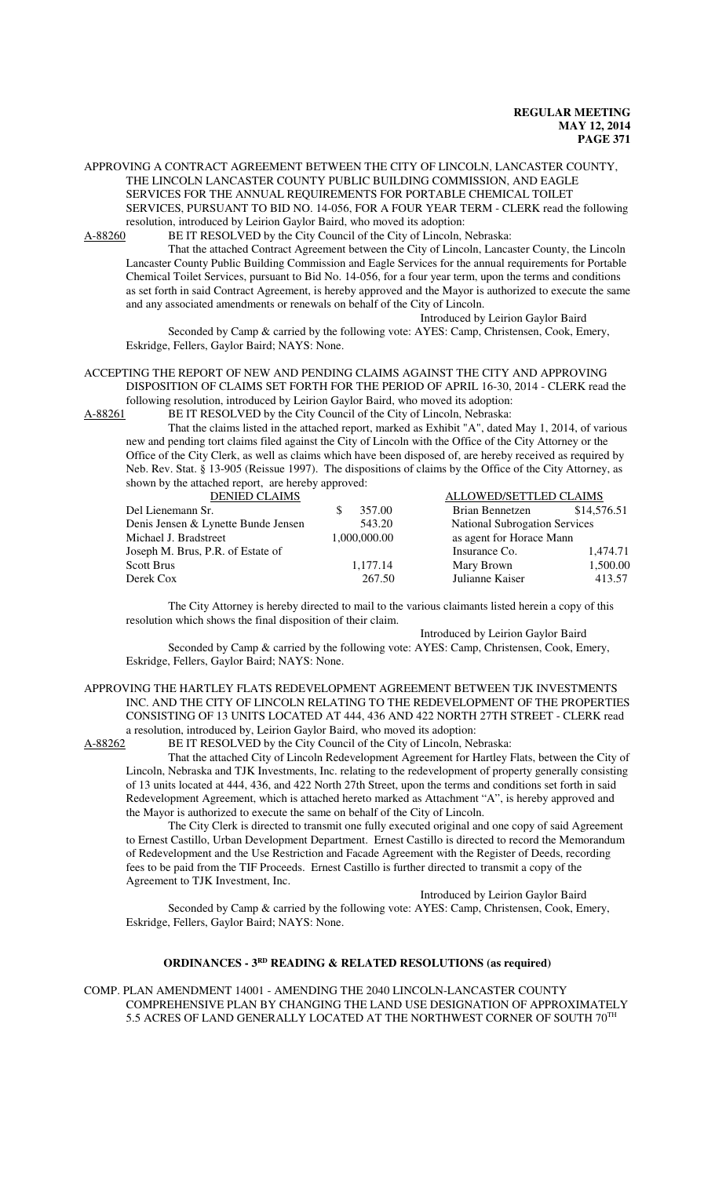APPROVING A CONTRACT AGREEMENT BETWEEN THE CITY OF LINCOLN, LANCASTER COUNTY, THE LINCOLN LANCASTER COUNTY PUBLIC BUILDING COMMISSION, AND EAGLE SERVICES FOR THE ANNUAL REQUIREMENTS FOR PORTABLE CHEMICAL TOILET SERVICES, PURSUANT TO BID NO. 14-056, FOR A FOUR YEAR TERM - CLERK read the following resolution, introduced by Leirion Gaylor Baird, who moved its adoption:

A-88260 BE IT RESOLVED by the City Council of the City of Lincoln, Nebraska:

That the attached Contract Agreement between the City of Lincoln, Lancaster County, the Lincoln Lancaster County Public Building Commission and Eagle Services for the annual requirements for Portable Chemical Toilet Services, pursuant to Bid No. 14-056, for a four year term, upon the terms and conditions as set forth in said Contract Agreement, is hereby approved and the Mayor is authorized to execute the same and any associated amendments or renewals on behalf of the City of Lincoln.

Introduced by Leirion Gaylor Baird

Seconded by Camp & carried by the following vote: AYES: Camp, Christensen, Cook, Emery, Eskridge, Fellers, Gaylor Baird; NAYS: None.

#### ACCEPTING THE REPORT OF NEW AND PENDING CLAIMS AGAINST THE CITY AND APPROVING DISPOSITION OF CLAIMS SET FORTH FOR THE PERIOD OF APRIL 16-30, 2014 - CLERK read the following resolution, introduced by Leirion Gaylor Baird, who moved its adoption:

A-88261 BE IT RESOLVED by the City Council of the City of Lincoln, Nebraska:

That the claims listed in the attached report, marked as Exhibit "A", dated May 1, 2014, of various new and pending tort claims filed against the City of Lincoln with the Office of the City Attorney or the Office of the City Clerk, as well as claims which have been disposed of, are hereby received as required by Neb. Rev. Stat. § 13-905 (Reissue 1997). The dispositions of claims by the Office of the City Attorney, as shown by the attached report, are hereby approved:

| <b>DENIED CLAIMS</b>                |              | ALLOWED/SETTLED CLAIMS               |             |
|-------------------------------------|--------------|--------------------------------------|-------------|
| Del Lienemann Sr.                   | 357.00       | Brian Bennetzen                      | \$14,576.51 |
| Denis Jensen & Lynette Bunde Jensen | 543.20       | <b>National Subrogation Services</b> |             |
| Michael J. Bradstreet               | 1,000,000.00 | as agent for Horace Mann             |             |
| Joseph M. Brus, P.R. of Estate of   |              | Insurance Co.                        | 1,474.71    |
| <b>Scott Brus</b>                   | 1,177.14     | Mary Brown                           | 1,500.00    |
| Derek Cox                           | 267.50       | Julianne Kaiser                      | 413.57      |

The City Attorney is hereby directed to mail to the various claimants listed herein a copy of this resolution which shows the final disposition of their claim.

Introduced by Leirion Gaylor Baird

Seconded by Camp & carried by the following vote: AYES: Camp, Christensen, Cook, Emery, Eskridge, Fellers, Gaylor Baird; NAYS: None.

APPROVING THE HARTLEY FLATS REDEVELOPMENT AGREEMENT BETWEEN TJK INVESTMENTS INC. AND THE CITY OF LINCOLN RELATING TO THE REDEVELOPMENT OF THE PROPERTIES CONSISTING OF 13 UNITS LOCATED AT 444, 436 AND 422 NORTH 27TH STREET - CLERK read a resolution, introduced by, Leirion Gaylor Baird, who moved its adoption:

A-88262 BE IT RESOLVED by the City Council of the City of Lincoln, Nebraska:

That the attached City of Lincoln Redevelopment Agreement for Hartley Flats, between the City of Lincoln, Nebraska and TJK Investments, Inc. relating to the redevelopment of property generally consisting of 13 units located at 444, 436, and 422 North 27th Street, upon the terms and conditions set forth in said Redevelopment Agreement, which is attached hereto marked as Attachment "A", is hereby approved and the Mayor is authorized to execute the same on behalf of the City of Lincoln.

The City Clerk is directed to transmit one fully executed original and one copy of said Agreement to Ernest Castillo, Urban Development Department. Ernest Castillo is directed to record the Memorandum of Redevelopment and the Use Restriction and Facade Agreement with the Register of Deeds, recording fees to be paid from the TIF Proceeds. Ernest Castillo is further directed to transmit a copy of the Agreement to TJK Investment, Inc.

Introduced by Leirion Gaylor Baird

Seconded by Camp & carried by the following vote: AYES: Camp, Christensen, Cook, Emery, Eskridge, Fellers, Gaylor Baird; NAYS: None.

# **ORDINANCES - 3<sup>RD</sup>** READING & RELATED RESOLUTIONS (as required)

COMP. PLAN AMENDMENT 14001 - AMENDING THE 2040 LINCOLN-LANCASTER COUNTY COMPREHENSIVE PLAN BY CHANGING THE LAND USE DESIGNATION OF APPROXIMATELY 5.5 ACRES OF LAND GENERALLY LOCATED AT THE NORTHWEST CORNER OF SOUTH 70TH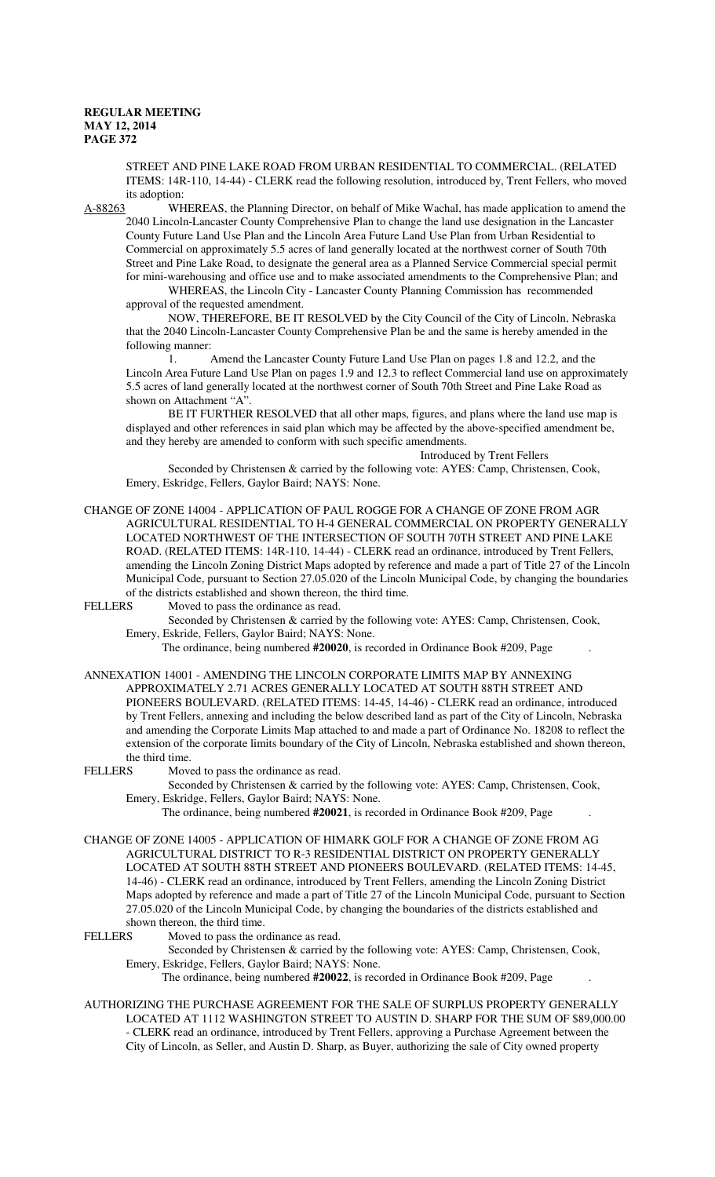STREET AND PINE LAKE ROAD FROM URBAN RESIDENTIAL TO COMMERCIAL. (RELATED ITEMS: 14R-110, 14-44) - CLERK read the following resolution, introduced by, Trent Fellers, who moved its adoption:

A-88263 WHEREAS, the Planning Director, on behalf of Mike Wachal, has made application to amend the 2040 Lincoln-Lancaster County Comprehensive Plan to change the land use designation in the Lancaster County Future Land Use Plan and the Lincoln Area Future Land Use Plan from Urban Residential to Commercial on approximately 5.5 acres of land generally located at the northwest corner of South 70th Street and Pine Lake Road, to designate the general area as a Planned Service Commercial special permit for mini-warehousing and office use and to make associated amendments to the Comprehensive Plan; and

WHEREAS, the Lincoln City - Lancaster County Planning Commission has recommended approval of the requested amendment.

NOW, THEREFORE, BE IT RESOLVED by the City Council of the City of Lincoln, Nebraska that the 2040 Lincoln-Lancaster County Comprehensive Plan be and the same is hereby amended in the following manner:

1. Amend the Lancaster County Future Land Use Plan on pages 1.8 and 12.2, and the Lincoln Area Future Land Use Plan on pages 1.9 and 12.3 to reflect Commercial land use on approximately 5.5 acres of land generally located at the northwest corner of South 70th Street and Pine Lake Road as shown on Attachment "A".

BE IT FURTHER RESOLVED that all other maps, figures, and plans where the land use map is displayed and other references in said plan which may be affected by the above-specified amendment be, and they hereby are amended to conform with such specific amendments.

Introduced by Trent Fellers

Seconded by Christensen & carried by the following vote: AYES: Camp, Christensen, Cook, Emery, Eskridge, Fellers, Gaylor Baird; NAYS: None.

CHANGE OF ZONE 14004 - APPLICATION OF PAUL ROGGE FOR A CHANGE OF ZONE FROM AGR AGRICULTURAL RESIDENTIAL TO H-4 GENERAL COMMERCIAL ON PROPERTY GENERALLY LOCATED NORTHWEST OF THE INTERSECTION OF SOUTH 70TH STREET AND PINE LAKE ROAD. (RELATED ITEMS: 14R-110, 14-44) - CLERK read an ordinance, introduced by Trent Fellers, amending the Lincoln Zoning District Maps adopted by reference and made a part of Title 27 of the Lincoln Municipal Code, pursuant to Section 27.05.020 of the Lincoln Municipal Code, by changing the boundaries of the districts established and shown thereon, the third time.<br>FELLERS Moved to pass the ordinance as read.

Moved to pass the ordinance as read.

Seconded by Christensen & carried by the following vote: AYES: Camp, Christensen, Cook, Emery, Eskride, Fellers, Gaylor Baird; NAYS: None.

The ordinance, being numbered **#20020**, is recorded in Ordinance Book #209, Page .

ANNEXATION 14001 - AMENDING THE LINCOLN CORPORATE LIMITS MAP BY ANNEXING APPROXIMATELY 2.71 ACRES GENERALLY LOCATED AT SOUTH 88TH STREET AND PIONEERS BOULEVARD. (RELATED ITEMS: 14-45, 14-46) - CLERK read an ordinance, introduced by Trent Fellers, annexing and including the below described land as part of the City of Lincoln, Nebraska and amending the Corporate Limits Map attached to and made a part of Ordinance No. 18208 to reflect the extension of the corporate limits boundary of the City of Lincoln, Nebraska established and shown thereon, the third time.<br>FELLERS Move

Moved to pass the ordinance as read.

Seconded by Christensen & carried by the following vote: AYES: Camp, Christensen, Cook, Emery, Eskridge, Fellers, Gaylor Baird; NAYS: None.

The ordinance, being numbered **#20021**, is recorded in Ordinance Book #209, Page .

CHANGE OF ZONE 14005 - APPLICATION OF HIMARK GOLF FOR A CHANGE OF ZONE FROM AG AGRICULTURAL DISTRICT TO R-3 RESIDENTIAL DISTRICT ON PROPERTY GENERALLY LOCATED AT SOUTH 88TH STREET AND PIONEERS BOULEVARD. (RELATED ITEMS: 14-45, 14-46) - CLERK read an ordinance, introduced by Trent Fellers, amending the Lincoln Zoning District Maps adopted by reference and made a part of Title 27 of the Lincoln Municipal Code, pursuant to Section 27.05.020 of the Lincoln Municipal Code, by changing the boundaries of the districts established and shown thereon, the third time.<br>FEI I FRS Moved to pass the orient

Moved to pass the ordinance as read.

Seconded by Christensen & carried by the following vote: AYES: Camp, Christensen, Cook, Emery, Eskridge, Fellers, Gaylor Baird; NAYS: None.

The ordinance, being numbered **#20022**, is recorded in Ordinance Book #209, Page .

AUTHORIZING THE PURCHASE AGREEMENT FOR THE SALE OF SURPLUS PROPERTY GENERALLY LOCATED AT 1112 WASHINGTON STREET TO AUSTIN D. SHARP FOR THE SUM OF \$89,000.00 - CLERK read an ordinance, introduced by Trent Fellers, approving a Purchase Agreement between the City of Lincoln, as Seller, and Austin D. Sharp, as Buyer, authorizing the sale of City owned property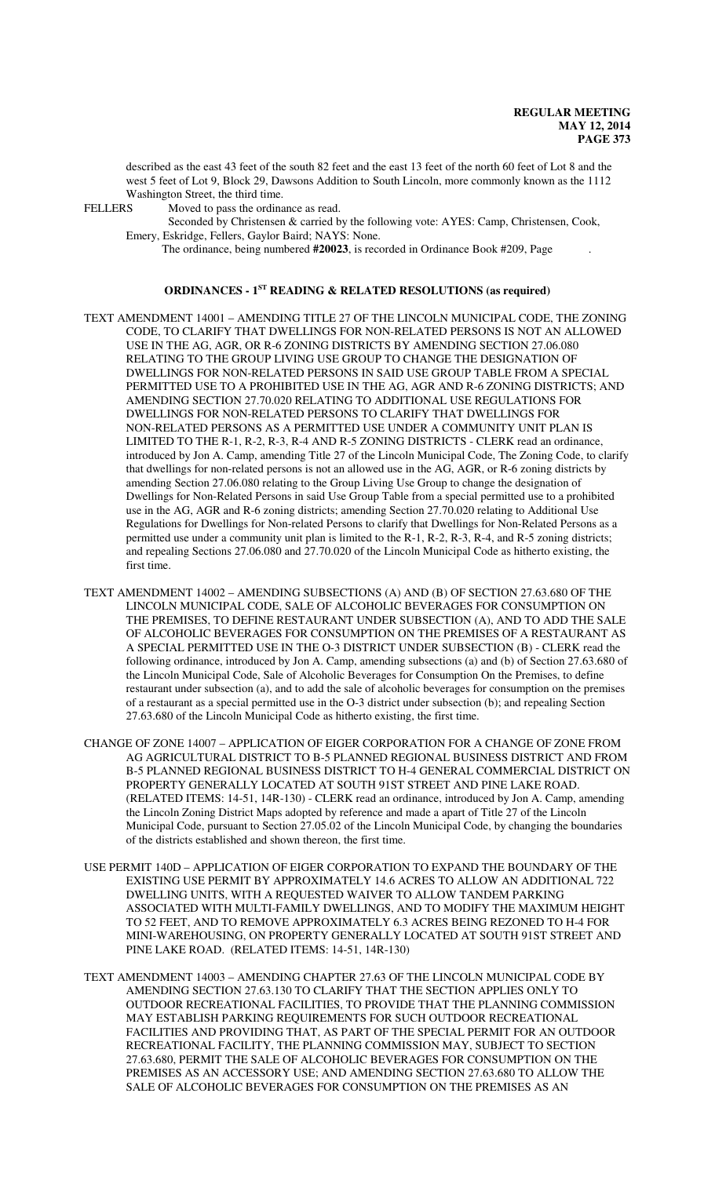described as the east 43 feet of the south 82 feet and the east 13 feet of the north 60 feet of Lot 8 and the west 5 feet of Lot 9, Block 29, Dawsons Addition to South Lincoln, more commonly known as the 1112 Washington Street, the third time.<br>FELLERS Moved to pass the ordina

Moved to pass the ordinance as read.

Seconded by Christensen & carried by the following vote: AYES: Camp, Christensen, Cook, Emery, Eskridge, Fellers, Gaylor Baird; NAYS: None.

The ordinance, being numbered **#20023**, is recorded in Ordinance Book #209, Page .

# **ORDINANCES - 1ST READING & RELATED RESOLUTIONS (as required)**

- TEXT AMENDMENT 14001 AMENDING TITLE 27 OF THE LINCOLN MUNICIPAL CODE, THE ZONING CODE, TO CLARIFY THAT DWELLINGS FOR NON-RELATED PERSONS IS NOT AN ALLOWED USE IN THE AG, AGR, OR R-6 ZONING DISTRICTS BY AMENDING SECTION 27.06.080 RELATING TO THE GROUP LIVING USE GROUP TO CHANGE THE DESIGNATION OF DWELLINGS FOR NON-RELATED PERSONS IN SAID USE GROUP TABLE FROM A SPECIAL PERMITTED USE TO A PROHIBITED USE IN THE AG, AGR AND R-6 ZONING DISTRICTS; AND AMENDING SECTION 27.70.020 RELATING TO ADDITIONAL USE REGULATIONS FOR DWELLINGS FOR NON-RELATED PERSONS TO CLARIFY THAT DWELLINGS FOR NON-RELATED PERSONS AS A PERMITTED USE UNDER A COMMUNITY UNIT PLAN IS LIMITED TO THE R-1, R-2, R-3, R-4 AND R-5 ZONING DISTRICTS - CLERK read an ordinance, introduced by Jon A. Camp, amending Title 27 of the Lincoln Municipal Code, The Zoning Code, to clarify that dwellings for non-related persons is not an allowed use in the AG, AGR, or R-6 zoning districts by amending Section 27.06.080 relating to the Group Living Use Group to change the designation of Dwellings for Non-Related Persons in said Use Group Table from a special permitted use to a prohibited use in the AG, AGR and R-6 zoning districts; amending Section 27.70.020 relating to Additional Use Regulations for Dwellings for Non-related Persons to clarify that Dwellings for Non-Related Persons as a permitted use under a community unit plan is limited to the R-1, R-2, R-3, R-4, and R-5 zoning districts; and repealing Sections 27.06.080 and 27.70.020 of the Lincoln Municipal Code as hitherto existing, the first time.
- TEXT AMENDMENT 14002 AMENDING SUBSECTIONS (A) AND (B) OF SECTION 27.63.680 OF THE LINCOLN MUNICIPAL CODE, SALE OF ALCOHOLIC BEVERAGES FOR CONSUMPTION ON THE PREMISES, TO DEFINE RESTAURANT UNDER SUBSECTION (A), AND TO ADD THE SALE OF ALCOHOLIC BEVERAGES FOR CONSUMPTION ON THE PREMISES OF A RESTAURANT AS A SPECIAL PERMITTED USE IN THE O-3 DISTRICT UNDER SUBSECTION (B) - CLERK read the following ordinance, introduced by Jon A. Camp, amending subsections (a) and (b) of Section 27.63.680 of the Lincoln Municipal Code, Sale of Alcoholic Beverages for Consumption On the Premises, to define restaurant under subsection (a), and to add the sale of alcoholic beverages for consumption on the premises of a restaurant as a special permitted use in the O-3 district under subsection (b); and repealing Section 27.63.680 of the Lincoln Municipal Code as hitherto existing, the first time.
- CHANGE OF ZONE 14007 APPLICATION OF EIGER CORPORATION FOR A CHANGE OF ZONE FROM AG AGRICULTURAL DISTRICT TO B-5 PLANNED REGIONAL BUSINESS DISTRICT AND FROM B-5 PLANNED REGIONAL BUSINESS DISTRICT TO H-4 GENERAL COMMERCIAL DISTRICT ON PROPERTY GENERALLY LOCATED AT SOUTH 91ST STREET AND PINE LAKE ROAD. (RELATED ITEMS: 14-51, 14R-130) - CLERK read an ordinance, introduced by Jon A. Camp, amending the Lincoln Zoning District Maps adopted by reference and made a apart of Title 27 of the Lincoln Municipal Code, pursuant to Section 27.05.02 of the Lincoln Municipal Code, by changing the boundaries of the districts established and shown thereon, the first time.
- USE PERMIT 140D APPLICATION OF EIGER CORPORATION TO EXPAND THE BOUNDARY OF THE EXISTING USE PERMIT BY APPROXIMATELY 14.6 ACRES TO ALLOW AN ADDITIONAL 722 DWELLING UNITS, WITH A REQUESTED WAIVER TO ALLOW TANDEM PARKING ASSOCIATED WITH MULTI-FAMILY DWELLINGS, AND TO MODIFY THE MAXIMUM HEIGHT TO 52 FEET, AND TO REMOVE APPROXIMATELY 6.3 ACRES BEING REZONED TO H-4 FOR MINI-WAREHOUSING, ON PROPERTY GENERALLY LOCATED AT SOUTH 91ST STREET AND PINE LAKE ROAD. (RELATED ITEMS: 14-51, 14R-130)
- TEXT AMENDMENT 14003 AMENDING CHAPTER 27.63 OF THE LINCOLN MUNICIPAL CODE BY AMENDING SECTION 27.63.130 TO CLARIFY THAT THE SECTION APPLIES ONLY TO OUTDOOR RECREATIONAL FACILITIES, TO PROVIDE THAT THE PLANNING COMMISSION MAY ESTABLISH PARKING REQUIREMENTS FOR SUCH OUTDOOR RECREATIONAL FACILITIES AND PROVIDING THAT, AS PART OF THE SPECIAL PERMIT FOR AN OUTDOOR RECREATIONAL FACILITY, THE PLANNING COMMISSION MAY, SUBJECT TO SECTION 27.63.680, PERMIT THE SALE OF ALCOHOLIC BEVERAGES FOR CONSUMPTION ON THE PREMISES AS AN ACCESSORY USE; AND AMENDING SECTION 27.63.680 TO ALLOW THE SALE OF ALCOHOLIC BEVERAGES FOR CONSUMPTION ON THE PREMISES AS AN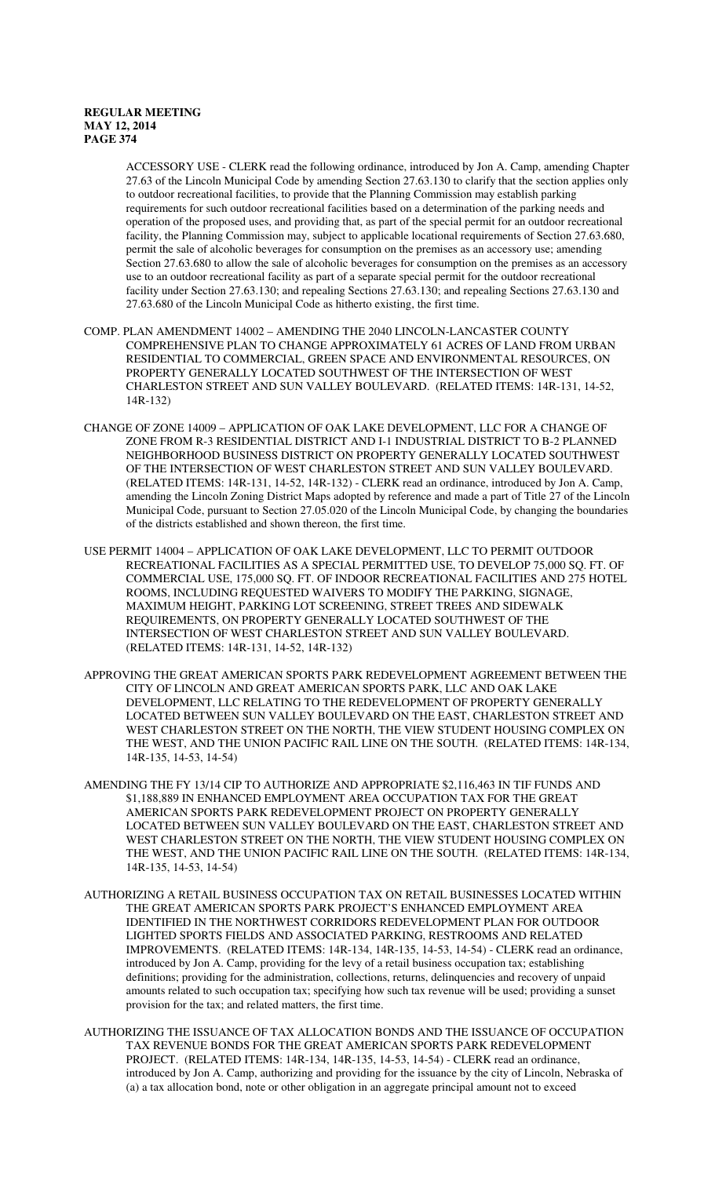ACCESSORY USE - CLERK read the following ordinance, introduced by Jon A. Camp, amending Chapter 27.63 of the Lincoln Municipal Code by amending Section 27.63.130 to clarify that the section applies only to outdoor recreational facilities, to provide that the Planning Commission may establish parking requirements for such outdoor recreational facilities based on a determination of the parking needs and operation of the proposed uses, and providing that, as part of the special permit for an outdoor recreational facility, the Planning Commission may, subject to applicable locational requirements of Section 27.63.680, permit the sale of alcoholic beverages for consumption on the premises as an accessory use; amending Section 27.63.680 to allow the sale of alcoholic beverages for consumption on the premises as an accessory use to an outdoor recreational facility as part of a separate special permit for the outdoor recreational facility under Section 27.63.130; and repealing Sections 27.63.130; and repealing Sections 27.63.130 and 27.63.680 of the Lincoln Municipal Code as hitherto existing, the first time.

- COMP. PLAN AMENDMENT 14002 AMENDING THE 2040 LINCOLN-LANCASTER COUNTY COMPREHENSIVE PLAN TO CHANGE APPROXIMATELY 61 ACRES OF LAND FROM URBAN RESIDENTIAL TO COMMERCIAL, GREEN SPACE AND ENVIRONMENTAL RESOURCES, ON PROPERTY GENERALLY LOCATED SOUTHWEST OF THE INTERSECTION OF WEST CHARLESTON STREET AND SUN VALLEY BOULEVARD. (RELATED ITEMS: 14R-131, 14-52, 14R-132)
- CHANGE OF ZONE 14009 APPLICATION OF OAK LAKE DEVELOPMENT, LLC FOR A CHANGE OF ZONE FROM R-3 RESIDENTIAL DISTRICT AND I-1 INDUSTRIAL DISTRICT TO B-2 PLANNED NEIGHBORHOOD BUSINESS DISTRICT ON PROPERTY GENERALLY LOCATED SOUTHWEST OF THE INTERSECTION OF WEST CHARLESTON STREET AND SUN VALLEY BOULEVARD. (RELATED ITEMS: 14R-131, 14-52, 14R-132) - CLERK read an ordinance, introduced by Jon A. Camp, amending the Lincoln Zoning District Maps adopted by reference and made a part of Title 27 of the Lincoln Municipal Code, pursuant to Section 27.05.020 of the Lincoln Municipal Code, by changing the boundaries of the districts established and shown thereon, the first time.
- USE PERMIT 14004 APPLICATION OF OAK LAKE DEVELOPMENT, LLC TO PERMIT OUTDOOR RECREATIONAL FACILITIES AS A SPECIAL PERMITTED USE, TO DEVELOP 75,000 SQ. FT. OF COMMERCIAL USE, 175,000 SQ. FT. OF INDOOR RECREATIONAL FACILITIES AND 275 HOTEL ROOMS, INCLUDING REQUESTED WAIVERS TO MODIFY THE PARKING, SIGNAGE, MAXIMUM HEIGHT, PARKING LOT SCREENING, STREET TREES AND SIDEWALK REQUIREMENTS, ON PROPERTY GENERALLY LOCATED SOUTHWEST OF THE INTERSECTION OF WEST CHARLESTON STREET AND SUN VALLEY BOULEVARD. (RELATED ITEMS: 14R-131, 14-52, 14R-132)
- APPROVING THE GREAT AMERICAN SPORTS PARK REDEVELOPMENT AGREEMENT BETWEEN THE CITY OF LINCOLN AND GREAT AMERICAN SPORTS PARK, LLC AND OAK LAKE DEVELOPMENT, LLC RELATING TO THE REDEVELOPMENT OF PROPERTY GENERALLY LOCATED BETWEEN SUN VALLEY BOULEVARD ON THE EAST, CHARLESTON STREET AND WEST CHARLESTON STREET ON THE NORTH, THE VIEW STUDENT HOUSING COMPLEX ON THE WEST, AND THE UNION PACIFIC RAIL LINE ON THE SOUTH. (RELATED ITEMS: 14R-134, 14R-135, 14-53, 14-54)
- AMENDING THE FY 13/14 CIP TO AUTHORIZE AND APPROPRIATE \$2,116,463 IN TIF FUNDS AND \$1,188,889 IN ENHANCED EMPLOYMENT AREA OCCUPATION TAX FOR THE GREAT AMERICAN SPORTS PARK REDEVELOPMENT PROJECT ON PROPERTY GENERALLY LOCATED BETWEEN SUN VALLEY BOULEVARD ON THE EAST, CHARLESTON STREET AND WEST CHARLESTON STREET ON THE NORTH, THE VIEW STUDENT HOUSING COMPLEX ON THE WEST, AND THE UNION PACIFIC RAIL LINE ON THE SOUTH. (RELATED ITEMS: 14R-134, 14R-135, 14-53, 14-54)
- AUTHORIZING A RETAIL BUSINESS OCCUPATION TAX ON RETAIL BUSINESSES LOCATED WITHIN THE GREAT AMERICAN SPORTS PARK PROJECT'S ENHANCED EMPLOYMENT AREA IDENTIFIED IN THE NORTHWEST CORRIDORS REDEVELOPMENT PLAN FOR OUTDOOR LIGHTED SPORTS FIELDS AND ASSOCIATED PARKING, RESTROOMS AND RELATED IMPROVEMENTS. (RELATED ITEMS: 14R-134, 14R-135, 14-53, 14-54) - CLERK read an ordinance, introduced by Jon A. Camp, providing for the levy of a retail business occupation tax; establishing definitions; providing for the administration, collections, returns, delinquencies and recovery of unpaid amounts related to such occupation tax; specifying how such tax revenue will be used; providing a sunset provision for the tax; and related matters, the first time.
- AUTHORIZING THE ISSUANCE OF TAX ALLOCATION BONDS AND THE ISSUANCE OF OCCUPATION TAX REVENUE BONDS FOR THE GREAT AMERICAN SPORTS PARK REDEVELOPMENT PROJECT. (RELATED ITEMS: 14R-134, 14R-135, 14-53, 14-54) - CLERK read an ordinance, introduced by Jon A. Camp, authorizing and providing for the issuance by the city of Lincoln, Nebraska of (a) a tax allocation bond, note or other obligation in an aggregate principal amount not to exceed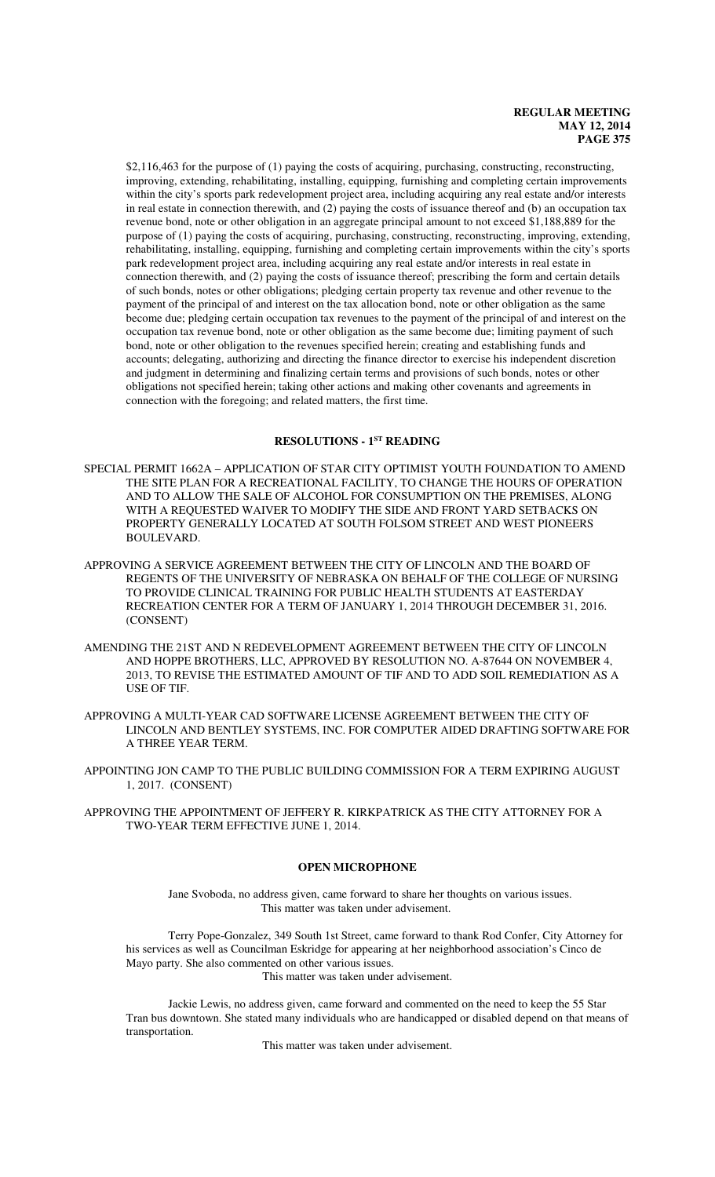\$2,116,463 for the purpose of (1) paying the costs of acquiring, purchasing, constructing, reconstructing, improving, extending, rehabilitating, installing, equipping, furnishing and completing certain improvements within the city's sports park redevelopment project area, including acquiring any real estate and/or interests in real estate in connection therewith, and (2) paying the costs of issuance thereof and (b) an occupation tax revenue bond, note or other obligation in an aggregate principal amount to not exceed \$1,188,889 for the purpose of (1) paying the costs of acquiring, purchasing, constructing, reconstructing, improving, extending, rehabilitating, installing, equipping, furnishing and completing certain improvements within the city's sports park redevelopment project area, including acquiring any real estate and/or interests in real estate in connection therewith, and (2) paying the costs of issuance thereof; prescribing the form and certain details of such bonds, notes or other obligations; pledging certain property tax revenue and other revenue to the payment of the principal of and interest on the tax allocation bond, note or other obligation as the same become due; pledging certain occupation tax revenues to the payment of the principal of and interest on the occupation tax revenue bond, note or other obligation as the same become due; limiting payment of such bond, note or other obligation to the revenues specified herein; creating and establishing funds and accounts; delegating, authorizing and directing the finance director to exercise his independent discretion and judgment in determining and finalizing certain terms and provisions of such bonds, notes or other obligations not specified herein; taking other actions and making other covenants and agreements in connection with the foregoing; and related matters, the first time.

# **RESOLUTIONS - 1ST READING**

SPECIAL PERMIT 1662A – APPLICATION OF STAR CITY OPTIMIST YOUTH FOUNDATION TO AMEND THE SITE PLAN FOR A RECREATIONAL FACILITY, TO CHANGE THE HOURS OF OPERATION AND TO ALLOW THE SALE OF ALCOHOL FOR CONSUMPTION ON THE PREMISES, ALONG WITH A REQUESTED WAIVER TO MODIFY THE SIDE AND FRONT YARD SETBACKS ON PROPERTY GENERALLY LOCATED AT SOUTH FOLSOM STREET AND WEST PIONEERS BOULEVARD.

- APPROVING A SERVICE AGREEMENT BETWEEN THE CITY OF LINCOLN AND THE BOARD OF REGENTS OF THE UNIVERSITY OF NEBRASKA ON BEHALF OF THE COLLEGE OF NURSING TO PROVIDE CLINICAL TRAINING FOR PUBLIC HEALTH STUDENTS AT EASTERDAY RECREATION CENTER FOR A TERM OF JANUARY 1, 2014 THROUGH DECEMBER 31, 2016. (CONSENT)
- AMENDING THE 21ST AND N REDEVELOPMENT AGREEMENT BETWEEN THE CITY OF LINCOLN AND HOPPE BROTHERS, LLC, APPROVED BY RESOLUTION NO. A-87644 ON NOVEMBER 4, 2013, TO REVISE THE ESTIMATED AMOUNT OF TIF AND TO ADD SOIL REMEDIATION AS A USE OF TIF.
- APPROVING A MULTI-YEAR CAD SOFTWARE LICENSE AGREEMENT BETWEEN THE CITY OF LINCOLN AND BENTLEY SYSTEMS, INC. FOR COMPUTER AIDED DRAFTING SOFTWARE FOR A THREE YEAR TERM.
- APPOINTING JON CAMP TO THE PUBLIC BUILDING COMMISSION FOR A TERM EXPIRING AUGUST 1, 2017. (CONSENT)

APPROVING THE APPOINTMENT OF JEFFERY R. KIRKPATRICK AS THE CITY ATTORNEY FOR A TWO-YEAR TERM EFFECTIVE JUNE 1, 2014.

## **OPEN MICROPHONE**

Jane Svoboda, no address given, came forward to share her thoughts on various issues. This matter was taken under advisement.

Terry Pope-Gonzalez, 349 South 1st Street, came forward to thank Rod Confer, City Attorney for his services as well as Councilman Eskridge for appearing at her neighborhood association's Cinco de Mayo party. She also commented on other various issues.

This matter was taken under advisement.

Jackie Lewis, no address given, came forward and commented on the need to keep the 55 Star Tran bus downtown. She stated many individuals who are handicapped or disabled depend on that means of transportation.

This matter was taken under advisement.